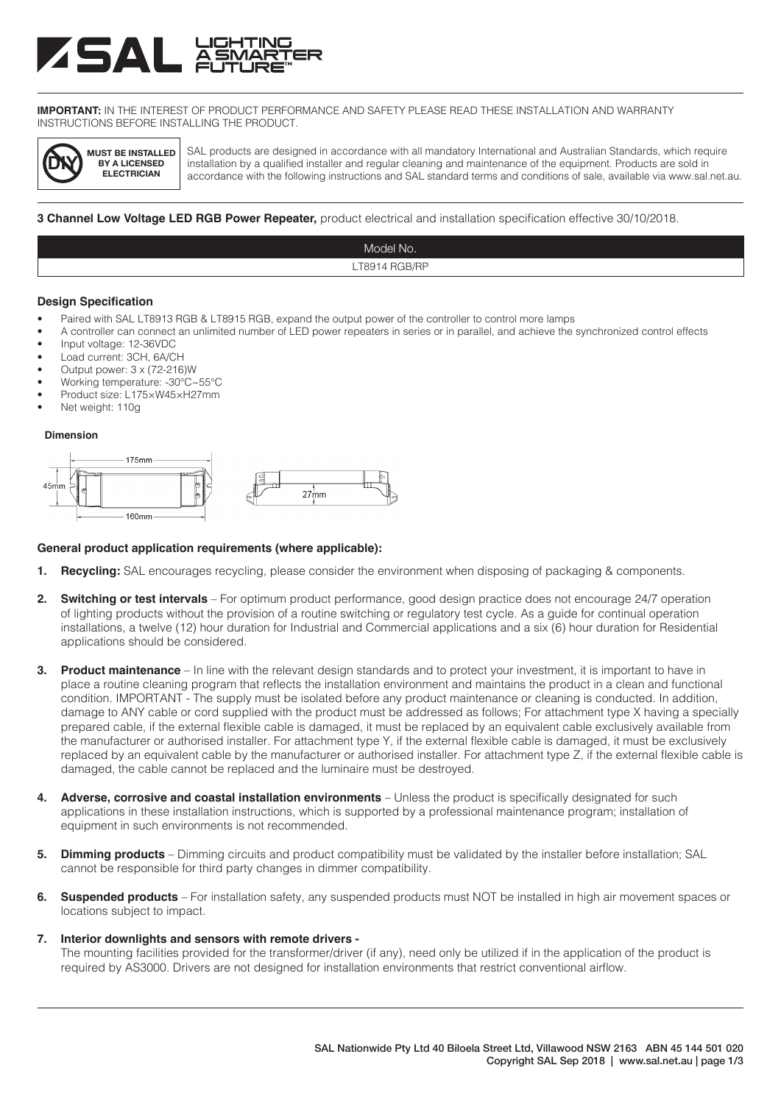# **ASAL**

**IMPORTANT:** IN THE INTEREST OF PRODUCT PERFORMANCE AND SAFETY PLEASE READ THESE INSTALLATION AND WARRANTY INSTRUCTIONS BEFORE INSTALLING THE PRODUCT.



SAL products are designed in accordance with all mandatory International and Australian Standards, which require installation by a qualified installer and regular cleaning and maintenance of the equipment. Products are sold in accordance with the following instructions and SAL standard terms and conditions of sale, available via www.sal.net.au.

### **3 Channel Low Voltage LED RGB Power Repeater,** product electrical and installation specification effective 30/10/2018.



### **Design Specification**

- Paired with SAL LT8913 RGB & LT8915 RGB, expand the output power of the controller to control more lamps
- A controller can connect an unlimited number of LED power repeaters in series or in parallel, and achieve the synchronized control effects
- Input voltage: 12-36VDC
- Load current: 3CH, 6A/CH
- Output power: 3 x (72-216)W
- Working temperature: -30℃~55℃
- Product size: L175×W45×H27mm
- Net weight: 110g

### **Dimension**



### **General product application requirements (where applicable):**

- **1. Recycling:** SAL encourages recycling, please consider the environment when disposing of packaging & components.
- **2. Switching or test intervals** For optimum product performance, good design practice does not encourage 24/7 operation of lighting products without the provision of a routine switching or regulatory test cycle. As a guide for continual operation installations, a twelve (12) hour duration for Industrial and Commercial applications and a six (6) hour duration for Residential applications should be considered.
- **3. Product maintenance** In line with the relevant design standards and to protect your investment, it is important to have in place a routine cleaning program that reflects the installation environment and maintains the product in a clean and functional condition. IMPORTANT - The supply must be isolated before any product maintenance or cleaning is conducted. In addition, damage to ANY cable or cord supplied with the product must be addressed as follows; For attachment type X having a specially prepared cable, if the external flexible cable is damaged, it must be replaced by an equivalent cable exclusively available from the manufacturer or authorised installer. For attachment type Y, if the external flexible cable is damaged, it must be exclusively replaced by an equivalent cable by the manufacturer or authorised installer. For attachment type Z, if the external flexible cable is damaged, the cable cannot be replaced and the luminaire must be destroyed.
- **4. Adverse, corrosive and coastal installation environments** Unless the product is specifically designated for such applications in these installation instructions, which is supported by a professional maintenance program; installation of equipment in such environments is not recommended.
- **5. Dimming products** Dimming circuits and product compatibility must be validated by the installer before installation; SAL cannot be responsible for third party changes in dimmer compatibility.
- **6. Suspended products** For installation safety, any suspended products must NOT be installed in high air movement spaces or locations subject to impact.

### **7. Interior downlights and sensors with remote drivers -**

The mounting facilities provided for the transformer/driver (if any), need only be utilized if in the application of the product is required by AS3000. Drivers are not designed for installation environments that restrict conventional airflow.